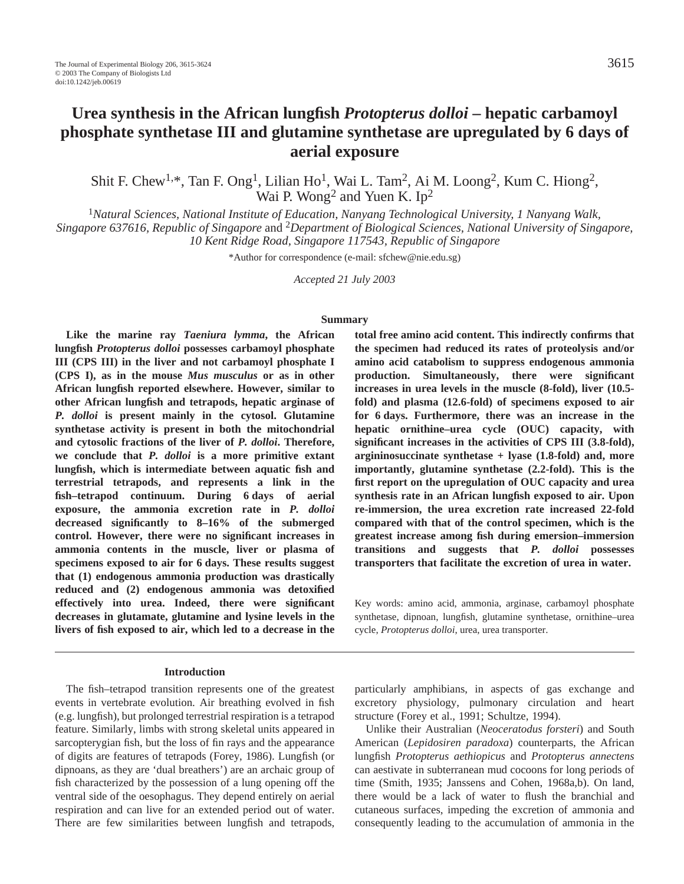Shit F. Chew<sup>1,\*</sup>, Tan F. Ong<sup>1</sup>, Lilian Ho<sup>1</sup>, Wai L. Tam<sup>2</sup>, Ai M. Loong<sup>2</sup>, Kum C. Hiong<sup>2</sup>, Wai P. Wong<sup>2</sup> and Yuen K. Ip<sup>2</sup>

<sup>1</sup>*Natural Sciences, National Institute of Education, Nanyang Technological University, 1 Nanyang Walk,*

*Singapore 637616, Republic of Singapore* and 2*Department of Biological Sciences, National University of Singapore,*

*10 Kent Ridge Road, Singapore 117543, Republic of Singapore*

\*Author for correspondence (e-mail: sfchew@nie.edu.sg)

*Accepted 21 July 2003*

#### **Summary**

**Like the marine ray** *Taeniura lymma***, the African lungfish** *Protopterus dolloi* **possesses carbamoyl phosphate III (CPS III) in the liver and not carbamoyl phosphate I (CPS I), as in the mouse** *Mus musculus* **or as in other African lungfish reported elsewhere. However, similar to other African lungfish and tetrapods, hepatic arginase of** *P. dolloi* **is present mainly in the cytosol. Glutamine synthetase activity is present in both the mitochondrial and cytosolic fractions of the liver of** *P. dolloi***. Therefore, we conclude that** *P. dolloi* **is a more primitive extant lungfish, which is intermediate between aquatic fish and terrestrial tetrapods, and represents a link in the** fish-tetrapod continuum. During 6 days of aerial **exposure, the ammonia excretion rate in** *P. dolloi* **decreased significantly to 8–16% of the submerged control. However, there were no significant increases in ammonia contents in the muscle, liver or plasma of** specimens exposed to air for 6 days. These results suggest **that (1) endogenous ammonia production was drastically reduced and (2) endogenous ammonia was detoxified effectively into urea. Indeed, there were significant decreases in glutamate, glutamine and lysine levels in the livers of fish exposed to air, which led to a decrease in the**

#### **Introduction**

The fish–tetrapod transition represents one of the greatest events in vertebrate evolution. Air breathing evolved in fish (e.g. lungfish), but prolonged terrestrial respiration is a tetrapod feature. Similarly, limbs with strong skeletal units appeared in sarcopterygian fish, but the loss of fin rays and the appearance of digits are features of tetrapods (Forey, 1986). Lungfish (or dipnoans, as they are 'dual breathers') are an archaic group of fish characterized by the possession of a lung opening off the ventral side of the oesophagus. They depend entirely on aerial respiration and can live for an extended period out of water. There are few similarities between lungfish and tetrapods, **total free amino acid content. This indirectly confirms that the specimen had reduced its rates of proteolysis and/or amino acid catabolism to suppress endogenous ammonia production. Simultaneously, there were significant increases in urea levels in the muscle (8-fold), liver (10.5 fold) and plasma (12.6-fold) of specimens exposed to air** for 6 days. Furthermore, there was an increase in the **hepatic ornithine–urea cycle (OUC) capacity, with significant increases in the activities of CPS III (3.8-fold), argininosuccinate synthetase + lyase (1.8-fold) and, more importantly, glutamine synthetase (2.2-fold). This is the first report on the upregulation of OUC capacity and urea synthesis rate in an African lungfish exposed to air. Upon re-immersion, the urea excretion rate increased 22-fold compared with that of the control specimen, which is the greatest increase among fish during emersion–immersion transitions and suggests that** *P. dolloi* **possesses transporters that facilitate the excretion of urea in water.** 

Key words: amino acid, ammonia, arginase, carbamoyl phosphate synthetase, dipnoan, lungfish, glutamine synthetase, ornithine–urea cycle, *Protopterus dolloi*, urea, urea transporter.

particularly amphibians, in aspects of gas exchange and excretory physiology, pulmonary circulation and heart structure (Forey et al., 1991; Schultze, 1994).

Unlike their Australian (*Neoceratodus forsteri*) and South American (*Lepidosiren paradoxa*) counterparts, the African lungfish *Protopterus aethiopicus* and *Protopterus annectens* can aestivate in subterranean mud cocoons for long periods of time (Smith, 1935; Janssens and Cohen, 1968a,b). On land, there would be a lack of water to flush the branchial and cutaneous surfaces, impeding the excretion of ammonia and consequently leading to the accumulation of ammonia in the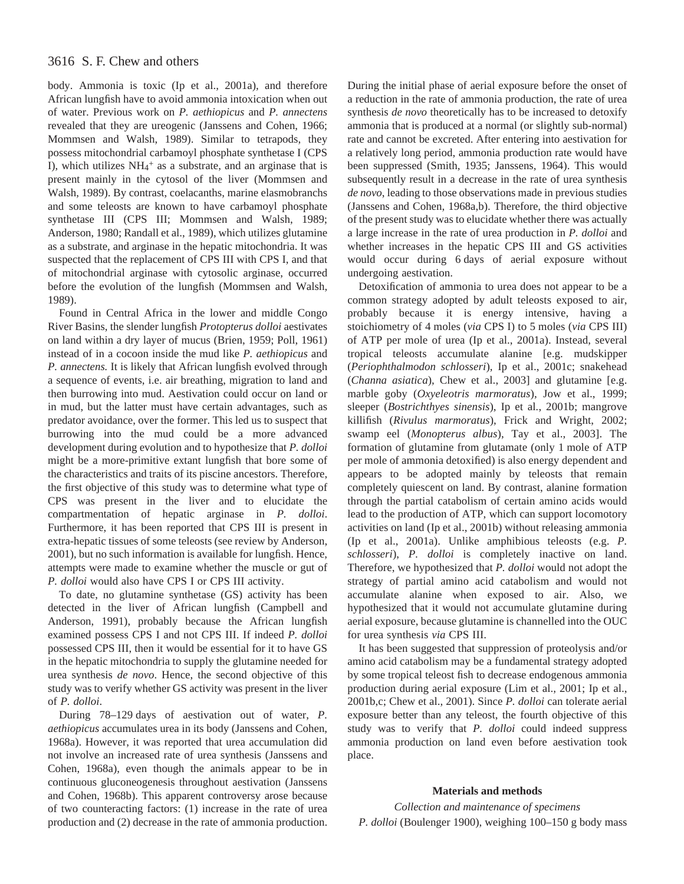body. Ammonia is toxic (Ip et al., 2001a), and therefore African lungfish have to avoid ammonia intoxication when out of water. Previous work on *P. aethiopicus* and *P. annectens* revealed that they are ureogenic (Janssens and Cohen, 1966; Mommsen and Walsh, 1989). Similar to tetrapods, they possess mitochondrial carbamoyl phosphate synthetase I (CPS I), which utilizes NH4 <sup>+</sup> as a substrate, and an arginase that is present mainly in the cytosol of the liver (Mommsen and Walsh, 1989). By contrast, coelacanths, marine elasmobranchs and some teleosts are known to have carbamoyl phosphate synthetase III (CPS III; Mommsen and Walsh, 1989; Anderson, 1980; Randall et al., 1989), which utilizes glutamine as a substrate, and arginase in the hepatic mitochondria. It was suspected that the replacement of CPS III with CPS I, and that of mitochondrial arginase with cytosolic arginase, occurred before the evolution of the lungfish (Mommsen and Walsh, 1989).

Found in Central Africa in the lower and middle Congo River Basins, the slender lungfish *Protopterus dolloi* aestivates on land within a dry layer of mucus (Brien, 1959; Poll, 1961) instead of in a cocoon inside the mud like *P. aethiopicus* and *P. annectens.* It is likely that African lungfish evolved through a sequence of events, i.e. air breathing, migration to land and then burrowing into mud. Aestivation could occur on land or in mud, but the latter must have certain advantages, such as predator avoidance, over the former. This led us to suspect that burrowing into the mud could be a more advanced development during evolution and to hypothesize that *P. dolloi* might be a more-primitive extant lungfish that bore some of the characteristics and traits of its piscine ancestors. Therefore, the first objective of this study was to determine what type of CPS was present in the liver and to elucidate the compartmentation of hepatic arginase in *P. dolloi*. Furthermore, it has been reported that CPS III is present in extra-hepatic tissues of some teleosts (see review by Anderson, 2001), but no such information is available for lungfish. Hence, attempts were made to examine whether the muscle or gut of *P. dolloi* would also have CPS I or CPS III activity.

To date, no glutamine synthetase (GS) activity has been detected in the liver of African lungfish (Campbell and Anderson, 1991), probably because the African lungfish examined possess CPS I and not CPS III. If indeed *P. dolloi* possessed CPS III, then it would be essential for it to have GS in the hepatic mitochondria to supply the glutamine needed for urea synthesis *de novo*. Hence, the second objective of this study was to verify whether GS activity was present in the liver of *P. dolloi*.

During 78–129 days of aestivation out of water, *P*. *aethiopicus* accumulates urea in its body (Janssens and Cohen, 1968a). However, it was reported that urea accumulation did not involve an increased rate of urea synthesis (Janssens and Cohen, 1968a), even though the animals appear to be in continuous gluconeogenesis throughout aestivation (Janssens and Cohen, 1968b). This apparent controversy arose because of two counteracting factors: (1) increase in the rate of urea production and (2) decrease in the rate of ammonia production.

During the initial phase of aerial exposure before the onset of a reduction in the rate of ammonia production, the rate of urea synthesis *de novo* theoretically has to be increased to detoxify ammonia that is produced at a normal (or slightly sub-normal) rate and cannot be excreted. After entering into aestivation for a relatively long period, ammonia production rate would have been suppressed (Smith, 1935; Janssens, 1964). This would subsequently result in a decrease in the rate of urea synthesis *de novo*, leading to those observations made in previous studies (Janssens and Cohen, 1968a,b). Therefore, the third objective of the present study was to elucidate whether there was actually a large increase in the rate of urea production in *P. dolloi* and whether increases in the hepatic CPS III and GS activities would occur during 6 days of aerial exposure without undergoing aestivation.

Detoxification of ammonia to urea does not appear to be a common strategy adopted by adult teleosts exposed to air, probably because it is energy intensive, having a stoichiometry of 4 moles (*via* CPS I) to 5 moles (*via* CPS III) of ATP per mole of urea (Ip et al., 2001a). Instead, several tropical teleosts accumulate alanine [e.g. mudskipper (*Periophthalmodon schlosseri*), Ip et al., 2001c; snakehead (*Channa asiatica*), Chew et al., 2003] and glutamine [e.g. marble goby (*Oxyeleotris marmoratus*), Jow et al., 1999; sleeper (*Bostrichthyes sinensis*), Ip et al*.*, 2001b; mangrove killifish (*Rivulus marmoratus*), Frick and Wright, 2002; swamp eel (*Monopterus albus*), Tay et al., 2003]. The formation of glutamine from glutamate (only 1 mole of ATP per mole of ammonia detoxified) is also energy dependent and appears to be adopted mainly by teleosts that remain completely quiescent on land. By contrast, alanine formation through the partial catabolism of certain amino acids would lead to the production of ATP, which can support locomotory activities on land (Ip et al., 2001b) without releasing ammonia (Ip et al., 2001a). Unlike amphibious teleosts (e.g. *P. schlosseri*), *P. dolloi* is completely inactive on land. Therefore, we hypothesized that *P. dolloi* would not adopt the strategy of partial amino acid catabolism and would not accumulate alanine when exposed to air. Also, we hypothesized that it would not accumulate glutamine during aerial exposure, because glutamine is channelled into the OUC for urea synthesis *via* CPS III.

It has been suggested that suppression of proteolysis and/or amino acid catabolism may be a fundamental strategy adopted by some tropical teleost fish to decrease endogenous ammonia production during aerial exposure (Lim et al., 2001; Ip et al., 2001b,c; Chew et al., 2001). Since *P. dolloi* can tolerate aerial exposure better than any teleost, the fourth objective of this study was to verify that *P. dolloi* could indeed suppress ammonia production on land even before aestivation took place.

## **Materials and methods**

*Collection and maintenance of specimens* P. dolloi (Boulenger 1900), weighing 100-150 g body mass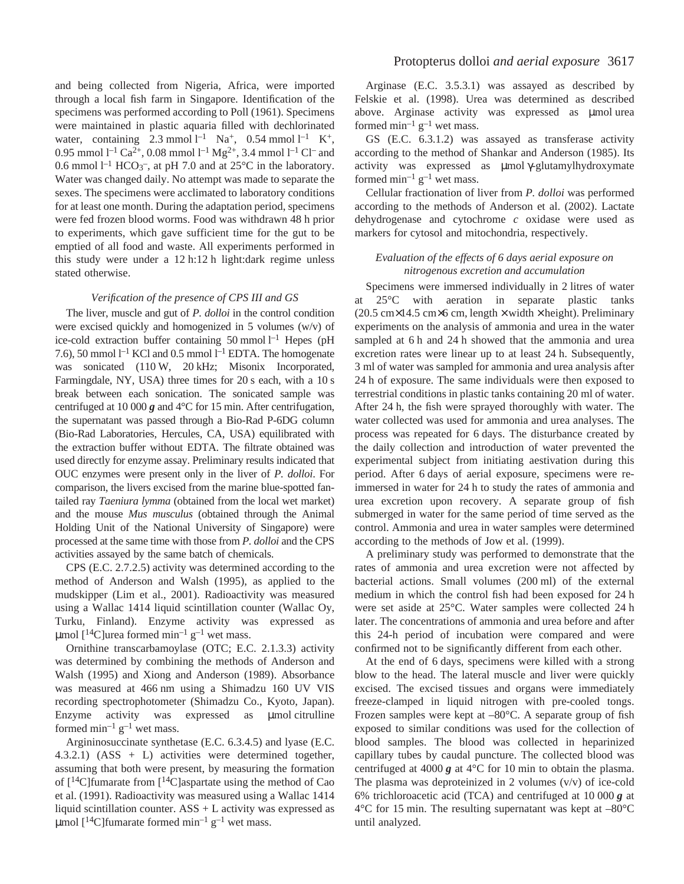and being collected from Nigeria, Africa, were imported through a local fish farm in Singapore. Identification of the specimens was performed according to Poll (1961). Specimens were maintained in plastic aquaria filled with dechlorinated water, containing  $2.3 \text{ mmol } l^{-1}$  Na<sup>+</sup>, 0.54 mmol l<sup>-1</sup> K<sup>+</sup>, 0.95 mmol l<sup>-1</sup> Ca<sup>2+</sup>, 0.08 mmol l<sup>-1</sup> Mg<sup>2+</sup>, 3.4 mmol l<sup>-1</sup> Cl<sup>-</sup> and 0.6 mmol  $l^{-1}$  HCO<sub>3</sub><sup>-</sup>, at pH 7.0 and at 25<sup>°</sup>C in the laboratory. Water was changed daily. No attempt was made to separate the sexes. The specimens were acclimated to laboratory conditions for at least one month. During the adaptation period, specimens were fed frozen blood worms. Food was withdrawn 48 h prior to experiments, which gave sufficient time for the gut to be emptied of all food and waste. All experiments performed in this study were under a  $12 h:12 h$  light:dark regime unless stated otherwise.

## *Verification of the presence of CPS III and GS*

The liver, muscle and gut of *P. dolloi* in the control condition were excised quickly and homogenized in 5 volumes (w/v) of ice-cold extraction buffer containing  $50 \text{ mmol } l^{-1}$  Hepes (pH 7.6), 50 mmol  $l^{-1}$  KCl and 0.5 mmol  $l^{-1}$  EDTA. The homogenate was sonicated (110 W, 20 kHz; Misonix Incorporated, Farmingdale, NY, USA) three times for 20 s each, with a 10 s break between each sonication. The sonicated sample was centrifuged at 10 000  $g$  and 4°C for 15 min. After centrifugation, the supernatant was passed through a Bio-Rad P-6DG column (Bio-Rad Laboratories, Hercules, CA, USA) equilibrated with the extraction buffer without EDTA. The filtrate obtained was used directly for enzyme assay. Preliminary results indicated that OUC enzymes were present only in the liver of *P. dolloi*. For comparison, the livers excised from the marine blue-spotted fantailed ray *Taeniura lymma* (obtained from the local wet market) and the mouse *Mus musculus* (obtained through the Animal Holding Unit of the National University of Singapore) were processed at the same time with those from *P. dolloi* and the CPS activities assayed by the same batch of chemicals.

CPS (E.C. 2.7.2.5) activity was determined according to the method of Anderson and Walsh (1995), as applied to the mudskipper (Lim et al., 2001). Radioactivity was measured using a Wallac 1414 liquid scintillation counter (Wallac Oy, Turku, Finland). Enzyme activity was expressed as µmol [<sup>14</sup>C]urea formed min<sup>-1</sup> g<sup>-1</sup> wet mass.

Ornithine transcarbamoylase (OTC; E.C. 2.1.3.3) activity was determined by combining the methods of Anderson and Walsh (1995) and Xiong and Anderson (1989). Absorbance was measured at 466 nm using a Shimadzu 160 UV VIS recording spectrophotometer (Shimadzu Co., Kyoto, Japan). Enzyme activity was expressed as umol-citrulline formed  $\min^{-1} g^{-1}$  wet mass.

Argininosuccinate synthetase (E.C. 6.3.4.5) and lyase (E.C. 4.3.2.1) (ASS + L) activities were determined together, assuming that both were present, by measuring the formation of [14C]fumarate from [14C]aspartate using the method of Cao et al. (1991). Radioactivity was measured using a Wallac 1414 liquid scintillation counter.  $ASS + L$  activity was expressed as µmol [<sup>14</sup>C]fumarate formed min<sup>-1</sup> g<sup>-1</sup> wet mass.

Arginase (E.C. 3.5.3.1) was assayed as described by Felskie et al. (1998). Urea was determined as described above. Arginase activity was expressed as µmolurea formed  $\min^{-1} g^{-1}$  wet mass.

GS (E.C. 6.3.1.2) was assayed as transferase activity according to the method of Shankar and Anderson (1985). Its activity was expressed as μmolγ-glutamylhydroxymate formed  $\min^{-1} g^{-1}$  wet mass.

Cellular fractionation of liver from *P. dolloi* was performed according to the methods of Anderson et al. (2002). Lactate dehydrogenase and cytochrome *c* oxidase were used as markers for cytosol and mitochondria, respectively.

### *Evaluation of the effects of 6·days aerial exposure on nitrogenous excretion and accumulation*

Specimens were immersed individually in 2 litres of water at 25°C with aeration in separate plastic tanks  $(20.5 \text{ cm} \times 14.5 \text{ cm} \times 6 \text{ cm}$ , length  $\times$  width  $\times$  height). Preliminary experiments on the analysis of ammonia and urea in the water sampled at 6 h and 24 h showed that the ammonia and urea excretion rates were linear up to at least 24 h. Subsequently, 3·ml of water was sampled for ammonia and urea analysis after 24 h of exposure. The same individuals were then exposed to terrestrial conditions in plastic tanks containing 20 ml of water. After 24 h, the fish were sprayed thoroughly with water. The water collected was used for ammonia and urea analyses. The process was repeated for 6 days. The disturbance created by the daily collection and introduction of water prevented the experimental subject from initiating aestivation during this period. After 6 days of aerial exposure, specimens were reimmersed in water for 24 h to study the rates of ammonia and urea excretion upon recovery. A separate group of fish submerged in water for the same period of time served as the control. Ammonia and urea in water samples were determined according to the methods of Jow et al. (1999).

A preliminary study was performed to demonstrate that the rates of ammonia and urea excretion were not affected by bacterial actions. Small volumes (200 ml) of the external medium in which the control fish had been exposed for 24 h were set aside at 25°C. Water samples were collected 24 h later. The concentrations of ammonia and urea before and after this 24-h period of incubation were compared and were confirmed not to be significantly different from each other.

At the end of 6 days, specimens were killed with a strong blow to the head. The lateral muscle and liver were quickly excised. The excised tissues and organs were immediately freeze-clamped in liquid nitrogen with pre-cooled tongs. Frozen samples were kept at –80°C. A separate group of fish exposed to similar conditions was used for the collection of blood samples. The blood was collected in heparinized capillary tubes by caudal puncture. The collected blood was centrifuged at 4000  $\boldsymbol{g}$  at 4<sup>o</sup>C for 10 min to obtain the plasma. The plasma was deproteinized in 2 volumes (v/v) of ice-cold 6% trichloroacetic acid (TCA) and centrifuged at 10 000 **g** at  $4^{\circ}$ C for 15 min. The resulting supernatant was kept at  $-80^{\circ}$ C until analyzed.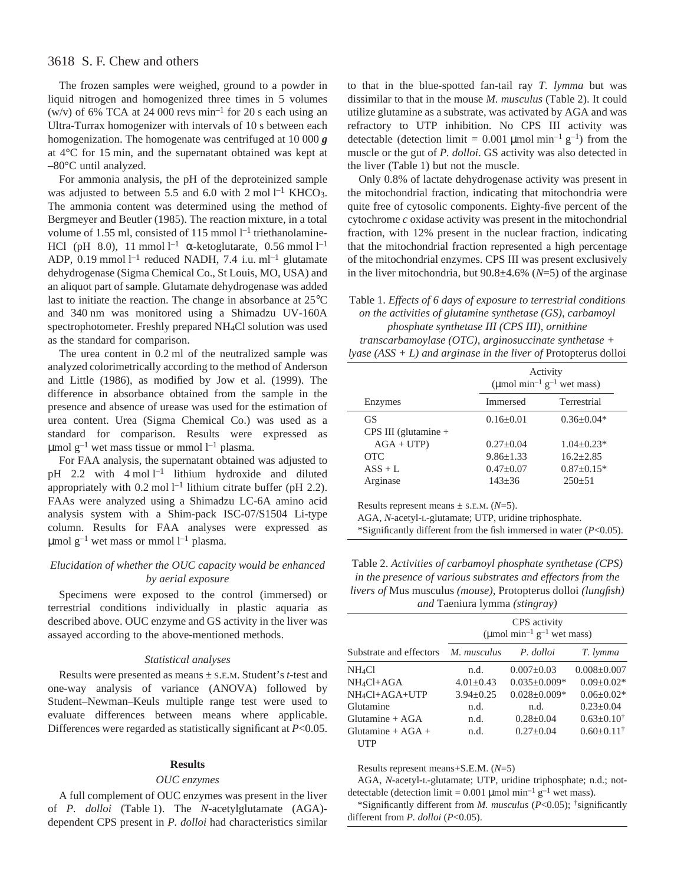The frozen samples were weighed, ground to a powder in liquid nitrogen and homogenized three times in 5 volumes (w/v) of 6% TCA at 24 000 revs  $min^{-1}$  for 20 s each using an Ultra-Turrax homogenizer with intervals of 10 s between each homogenization. The homogenate was centrifuged at 10 000  $g$ at  $4^{\circ}$ C for 15 min, and the supernatant obtained was kept at –80°C until analyzed.

For ammonia analysis, the pH of the deproteinized sample was adjusted to between 5.5 and 6.0 with 2 mol  $l^{-1}$  KHCO<sub>3</sub>. The ammonia content was determined using the method of Bergmeyer and Beutler (1985). The reaction mixture, in a total volume of 1.55 ml, consisted of 115 mmol  $l<sup>-1</sup>$  triethanolamine-HCl (pH 8.0), 11 mmol  $l^{-1}$  α-ketoglutarate, 0.56 mmol  $l^{-1}$ ADP, 0.19 mmol  $l^{-1}$  reduced NADH, 7.4 i.u. ml<sup>-1</sup> glutamate dehydrogenase (Sigma Chemical Co., St Louis, MO, USA) and an aliquot part of sample. Glutamate dehydrogenase was added last to initiate the reaction. The change in absorbance at 25°C and 340 nm was monitored using a Shimadzu UV-160A spectrophotometer. Freshly prepared NH4Cl solution was used as the standard for comparison.

The urea content in  $0.2$  ml of the neutralized sample was analyzed colorimetrically according to the method of Anderson and Little (1986), as modified by Jow et al. (1999). The difference in absorbance obtained from the sample in the presence and absence of urease was used for the estimation of urea content. Urea (Sigma Chemical Co.) was used as a standard for comparison. Results were expressed as  $\mu$ mol g<sup>-1</sup> wet mass tissue or mmol l<sup>-1</sup> plasma.

For FAA analysis, the supernatant obtained was adjusted to pH 2.2 with  $4 \text{ mol } l^{-1}$  lithium hydroxide and diluted appropriately with  $0.2$  mol  $l^{-1}$  lithium citrate buffer (pH 2.2). FAAs were analyzed using a Shimadzu LC-6A amino acid analysis system with a Shim-pack ISC-07/S1504 Li-type column. Results for FAA analyses were expressed as  $\mu$ mol g<sup>-1</sup> wet mass or mmol l<sup>-1</sup> plasma.

## *Elucidation of whether the OUC capacity would be enhanced by aerial exposure*

Specimens were exposed to the control (immersed) or terrestrial conditions individually in plastic aquaria as described above. OUC enzyme and GS activity in the liver was assayed according to the above-mentioned methods.

#### *Statistical analyses*

Results were presented as means ± S.E.M. Student's *t*-test and one-way analysis of variance (ANOVA) followed by Student–Newman–Keuls multiple range test were used to evaluate differences between means where applicable. Differences were regarded as statistically significant at *P*<0.05.

#### **Results**

#### *OUC enzymes*

A full complement of OUC enzymes was present in the liver of *P. dolloi* (Table 1). The *N*-acetylglutamate (AGA)dependent CPS present in *P. dolloi* had characteristics similar to that in the blue-spotted fan-tail ray *T. lymma* but was dissimilar to that in the mouse *M. musculus* (Table 2). It could utilize glutamine as a substrate, was activated by AGA and was refractory to UTP inhibition. No CPS III activity was detectable (detection limit = 0.001  $\mu$ mol min<sup>-1</sup> g<sup>-1</sup>) from the muscle or the gut of *P. dolloi*. GS activity was also detected in the liver (Table 1) but not the muscle.

Only 0.8% of lactate dehydrogenase activity was present in the mitochondrial fraction, indicating that mitochondria were quite free of cytosolic components. Eighty-five percent of the cytochrome *c* oxidase activity was present in the mitochondrial fraction, with 12% present in the nuclear fraction, indicating that the mitochondrial fraction represented a high percentage of the mitochondrial enzymes. CPS III was present exclusively in the liver mitochondria, but 90.8±4.6% (*N*=5) of the arginase

# Table 1. *Effects of 6·days of exposure to terrestrial conditions on the activities of glutamine synthetase (GS), carbamoyl phosphate synthetase III (CPS III), ornithine transcarbamoylase (OTC), arginosuccinate synthetase + lyase (ASS + L) and arginase in the liver of* Protopterus dolloi

|                      |                 | Activity<br>(µmol min <sup>-1</sup> $g^{-1}$ wet mass) |  |
|----------------------|-----------------|--------------------------------------------------------|--|
| Enzymes              | Immersed        | Terrestrial                                            |  |
| <b>GS</b>            | $0.16 + 0.01$   | $0.36 \pm 0.04*$                                       |  |
| CPS III (glutamine + |                 |                                                        |  |
| $AGA + UTP$          | $0.27+0.04$     | $1.04 \pm 0.23*$                                       |  |
| OTC.                 | $9.86 \pm 1.33$ | $16.2 + 2.85$                                          |  |
| $ASS + L$            | $0.47+0.07$     | $0.87+0.15*$                                           |  |
| Arginase             | $143 + 36$      | $250+51$                                               |  |

Results represent means  $\pm$  s.E.M. ( $N=5$ ).

AGA, *N*-acetyl-L-glutamate; UTP, uridine triphosphate.

\*Significantly different from the fish immersed in water (*P*<0.05).

Table 2. *Activities of carbamoyl phosphate synthetase (CPS) in the presence of various substrates and effectors from the livers of* Mus musculus *(mouse),* Protopterus dolloi *(lungfish) and* Taeniura lymma *(stingray)* 

| $\alpha$ and $\alpha$ is a contracted by $\alpha$ in $\alpha$ in $\alpha$ is $\alpha$ if $\alpha$ is $\alpha$ is $\alpha$ is $\alpha$ is $\alpha$ is $\alpha$ is $\alpha$ is $\alpha$ is $\alpha$ is $\alpha$ is $\alpha$ is $\alpha$ is $\alpha$ is $\alpha$ is $\alpha$ is $\alpha$ is $\alpha$ is $\alpha$ is $\alpha$ is $\alpha$ |                                                            |                    |                         |  |
|---------------------------------------------------------------------------------------------------------------------------------------------------------------------------------------------------------------------------------------------------------------------------------------------------------------------------------------|------------------------------------------------------------|--------------------|-------------------------|--|
|                                                                                                                                                                                                                                                                                                                                       | CPS activity<br>(µmol min <sup>-1</sup> $g^{-1}$ wet mass) |                    |                         |  |
| Substrate and effectors <i>M. musculus</i>                                                                                                                                                                                                                                                                                            |                                                            | P. dolloi          | T. lymma                |  |
| NH <sub>4</sub> Cl                                                                                                                                                                                                                                                                                                                    | n.d.                                                       | $0.007 \pm 0.03$   | $0.008 \pm 0.007$       |  |
| NH <sub>4</sub> Cl+AGA                                                                                                                                                                                                                                                                                                                | $4.01 \pm 0.43$                                            | $0.035 \pm 0.009*$ | $0.09 \pm 0.02*$        |  |
| NH <sub>4</sub> Cl+AGA+UTP                                                                                                                                                                                                                                                                                                            | $3.94 \pm 0.25$                                            | $0.028 \pm 0.009*$ | $0.06 + 0.02*$          |  |
| Glutamine                                                                                                                                                                                                                                                                                                                             | n.d.                                                       | n.d.               | $0.23 \pm 0.04$         |  |
| $Glutamine + AGA$                                                                                                                                                                                                                                                                                                                     | n.d.                                                       | $0.28 \pm 0.04$    | $0.63+0.10^{\dagger}$   |  |
| Glutamine + $AGA +$                                                                                                                                                                                                                                                                                                                   | n.d.                                                       | $0.27 + 0.04$      | $0.60 + 0.11^{\dagger}$ |  |
| UTP                                                                                                                                                                                                                                                                                                                                   |                                                            |                    |                         |  |

Results represent means+S.E.M. (*N*=5)

AGA, *N*-acetyl-L-glutamate; UTP, uridine triphosphate; n.d.; notdetectable (detection limit = 0.001  $\mu$ mol min<sup>-1</sup> g<sup>-1</sup> wet mass).

\*Significantly different from *M. musculus* (*P*<0.05); †significantly different from *P. dolloi* (*P*<0.05).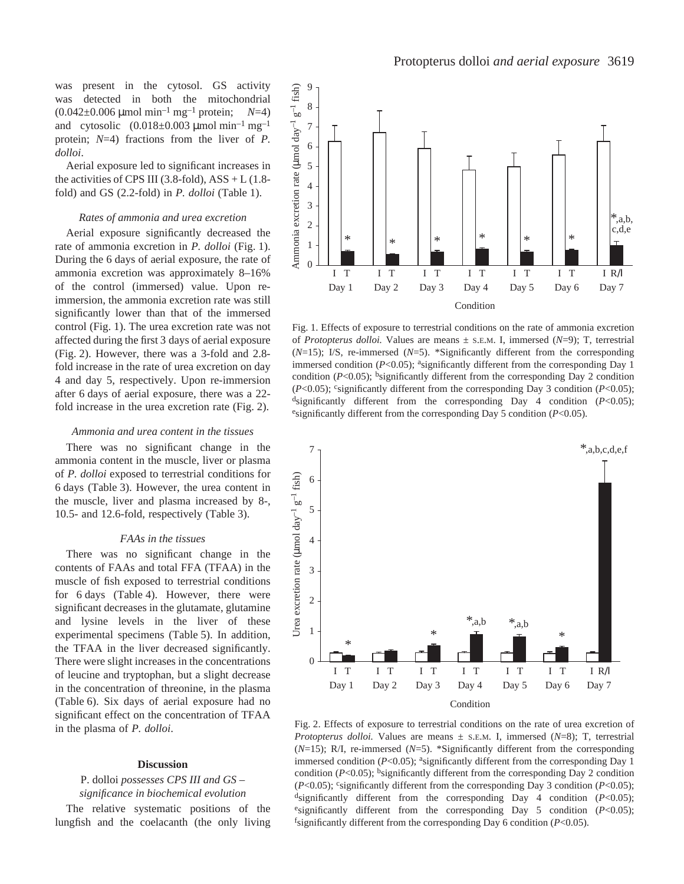was present in the cytosol. GS activity was detected in both the mitochondrial  $(0.042 \pm 0.006 \,\mu\text{mol min}^{-1} \text{mg}^{-1} \text{protein};\quad N=4)$ and cytosolic  $(0.018\pm0.003 \,\mu\text{mol min}^{-1}\,\text{mg}^{-1})$ protein; *N*=4) fractions from the liver of *P. dolloi*.

Aerial exposure led to significant increases in the activities of CPS III (3.8-fold),  $ASS + L$  (1.8fold) and GS (2.2-fold) in *P. dolloi* (Table 1).

#### *Rates of ammonia and urea excretion*

Aerial exposure significantly decreased the rate of ammonia excretion in *P. dolloi* (Fig. 1). During the 6 days of aerial exposure, the rate of ammonia excretion was approximately 8–16% of the control (immersed) value. Upon reimmersion, the ammonia excretion rate was still significantly lower than that of the immersed control (Fig. 1). The urea excretion rate was not affected during the first 3 days of aerial exposure  $(Fig. 2)$ . However, there was a 3-fold and 2.8fold increase in the rate of urea excretion on day 4 and day 5, respectively. Upon re-immersion after 6 days of aerial exposure, there was a 22fold increase in the urea excretion rate (Fig. 2).

#### *Ammonia and urea content in the tissues*

There was no significant change in the ammonia content in the muscle, liver or plasma of *P. dolloi* exposed to terrestrial conditions for 6·days (Table·3). However, the urea content in the muscle, liver and plasma increased by 8-, 10.5- and 12.6-fold, respectively (Table 3).

#### *FAAs in the tissues*

There was no significant change in the contents of FAAs and total FFA (TFAA) in the muscle of fish exposed to terrestrial conditions for 6 days (Table 4). However, there were significant decreases in the glutamate, glutamine and lysine levels in the liver of these experimental specimens (Table 5). In addition, the TFAA in the liver decreased significantly. There were slight increases in the concentrations of leucine and tryptophan, but a slight decrease in the concentration of threonine, in the plasma (Table·6). Six days of aerial exposure had no significant effect on the concentration of TFAA in the plasma of *P. dolloi*.

#### **Discussion**

## P. dolloi *possesses CPS III and GS – significance in biochemical evolution*

The relative systematic positions of the lungfish and the coelacanth (the only living



Fig. 1. Effects of exposure to terrestrial conditions on the rate of ammonia excretion of *Protopterus dolloi.* Values are means ± S.E.M. I, immersed (*N*=9); T, terrestrial (*N*=15); I/S, re-immersed (*N*=5). \*Significantly different from the corresponding immersed condition  $(P<0.05)$ ; <sup>a</sup>significantly different from the corresponding Day 1 condition  $(P<0.05)$ ; bsignificantly different from the corresponding Day 2 condition  $(P<0.05)$ ; significantly different from the corresponding Day 3 condition  $(P<0.05)$ ; dsignificantly different from the corresponding Day 4 condition  $(P<0.05)$ ; esignificantly different from the corresponding Day 5 condition (*P*<0.05).



Fig. 2. Effects of exposure to terrestrial conditions on the rate of urea excretion of *Protopterus dolloi.* Values are means ± S.E.M. I, immersed (*N*=8); T, terrestrial (*N*=15); R/I, re-immersed (*N*=5). \*Significantly different from the corresponding immersed condition (*P*<0.05); <sup>a</sup>significantly different from the corresponding Day 1 condition ( $P<0.05$ ); <sup>b</sup>significantly different from the corresponding Day 2 condition (*P*<0.05); csignificantly different from the corresponding Day 3 condition (*P*<0.05); dsignificantly different from the corresponding Day 4 condition  $(P<0.05)$ ; esignificantly different from the corresponding Day 5 condition  $(P<0.05)$ ; f significantly different from the corresponding Day 6 condition (*P*<0.05).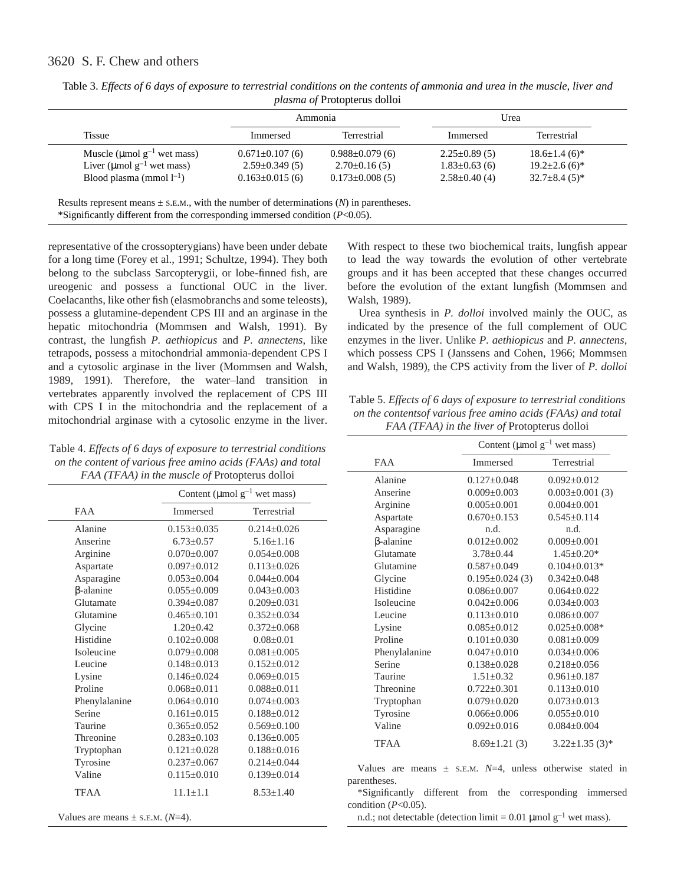|                                              |                       | Ammonia              | Urea                |                     |
|----------------------------------------------|-----------------------|----------------------|---------------------|---------------------|
| Tissue                                       | Immersed              | Terrestrial          | Immersed            | Terrestrial         |
| Muscle ( $\mu$ mol g <sup>-1</sup> wet mass) | $0.671 \pm 0.107(6)$  | $0.988 \pm 0.079(6)$ | $2.25 \pm 0.89(5)$  | $18.6 \pm 1.4(6)^*$ |
| Liver ( $\mu$ mol g <sup>-1</sup> wet mass)  | $2.59 \pm 0.349(5)$   | $2.70\pm0.16(5)$     | $1.83 \pm 0.63$ (6) | $19.2 \pm 2.6$ (6)* |
| Blood plasma (mmol $l^{-1}$ )                | $0.163 \pm 0.015$ (6) | $0.173 \pm 0.008(5)$ | $2.58 \pm 0.40$ (4) | $32.7\pm8.4(5)$ *   |

Table 3. *Effects of 6 days of exposure to terrestrial conditions on the contents of ammonia and urea in the muscle, liver and plasma of* Protopterus dolloi

\*Significantly different from the corresponding immersed condition (*P*<0.05).

representative of the crossopterygians) have been under debate for a long time (Forey et al., 1991; Schultze, 1994). They both belong to the subclass Sarcopterygii, or lobe-finned fish, are ureogenic and possess a functional OUC in the liver. Coelacanths, like other fish (elasmobranchs and some teleosts), possess a glutamine-dependent CPS III and an arginase in the hepatic mitochondria (Mommsen and Walsh, 1991). By contrast, the lungfish *P. aethiopicus* and *P. annectens*, like tetrapods, possess a mitochondrial ammonia-dependent CPS I and a cytosolic arginase in the liver (Mommsen and Walsh, 1989, 1991). Therefore, the water–land transition in vertebrates apparently involved the replacement of CPS III with CPS I in the mitochondria and the replacement of a mitochondrial arginase with a cytosolic enzyme in the liver.

| Table 4. Effects of 6 days of exposure to terrestrial conditions |
|------------------------------------------------------------------|
| on the content of various free amino acids (FAAs) and total      |
| FAA (TFAA) in the muscle of Protopterus dolloi                   |

|               |                   | Content ( $\mu$ mol g <sup>-1</sup> wet mass) |  |
|---------------|-------------------|-----------------------------------------------|--|
| <b>FAA</b>    | Immersed          | Terrestrial                                   |  |
| Alanine       | $0.153 \pm 0.035$ | $0.214 \pm 0.026$                             |  |
| Anserine      | $6.73 \pm 0.57$   | $5.16 \pm 1.16$                               |  |
| Arginine      | $0.070 \pm 0.007$ | $0.054 \pm 0.008$                             |  |
| Aspartate     | $0.097 \pm 0.012$ | $0.113 \pm 0.026$                             |  |
| Asparagine    | $0.053 \pm 0.004$ | $0.044 \pm 0.004$                             |  |
| β-alanine     | $0.055 \pm 0.009$ | $0.043 \pm 0.003$                             |  |
| Glutamate     | $0.394 \pm 0.087$ | $0.209 \pm 0.031$                             |  |
| Glutamine     | $0.465 \pm 0.101$ | $0.352 \pm 0.034$                             |  |
| Glycine       | $1.20 \pm 0.42$   | $0.372 \pm 0.068$                             |  |
| Histidine     | $0.102 \pm 0.008$ | $0.08 \pm 0.01$                               |  |
| Isoleucine    | $0.079 \pm 0.008$ | $0.081 \pm 0.005$                             |  |
| Leucine       | $0.148 \pm 0.013$ | $0.152 \pm 0.012$                             |  |
| Lysine        | $0.146 \pm 0.024$ | $0.069 \pm 0.015$                             |  |
| Proline       | $0.068 \pm 0.011$ | $0.088 \pm 0.011$                             |  |
| Phenylalanine | $0.064 \pm 0.010$ | $0.074 \pm 0.003$                             |  |
| Serine        | $0.161 \pm 0.015$ | $0.188 \pm 0.012$                             |  |
| Taurine       | $0.365 \pm 0.052$ | $0.569 \pm 0.100$                             |  |
| Threonine     | $0.283 \pm 0.103$ | $0.136 \pm 0.005$                             |  |
| Tryptophan    | $0.121 \pm 0.028$ | $0.188 \pm 0.016$                             |  |
| Tyrosine      | $0.237 \pm 0.067$ | $0.214 \pm 0.044$                             |  |
| Valine        | $0.115 \pm 0.010$ | $0.139 \pm 0.014$                             |  |
| <b>TFAA</b>   | $11.1 \pm 1.1$    | $8.53 \pm 1.40$                               |  |

Values are means ± S.E.M. (*N*=4).

With respect to these two biochemical traits, lungfish appear to lead the way towards the evolution of other vertebrate groups and it has been accepted that these changes occurred before the evolution of the extant lungfish (Mommsen and Walsh, 1989).

Urea synthesis in *P. dolloi* involved mainly the OUC, as indicated by the presence of the full complement of OUC enzymes in the liver. Unlike *P. aethiopicus* and *P. annectens*, which possess CPS I (Janssens and Cohen, 1966; Mommsen and Walsh, 1989), the CPS activity from the liver of *P. dolloi*

Table 5. *Effects of 6·days of exposure to terrestrial conditions on the contentsof various free amino acids (FAAs) and total FAA (TFAA) in the liver of* Protopterus dolloi

|                  | Content (µmol $g^{-1}$ wet mass) |                      |
|------------------|----------------------------------|----------------------|
| <b>FAA</b>       | Immersed                         | Terrestrial          |
| Alanine          | $0.127 + 0.048$                  | $0.092 + 0.012$      |
| Anserine         | $0.009 \pm 0.003$                | $0.003 \pm 0.001(3)$ |
| Arginine         | $0.005 \pm 0.001$                | $0.004 + 0.001$      |
| Aspartate        | $0.670 \pm 0.153$                | $0.545 \pm 0.114$    |
| Asparagine       | n.d.                             | n.d.                 |
| $\beta$ -alanine | $0.012 \pm 0.002$                | $0.009 \pm 0.001$    |
| Glutamate        | $3.78 + 0.44$                    | $1.45 \pm 0.20*$     |
| Glutamine        | $0.587 \pm 0.049$                | $0.104 \pm 0.013*$   |
| Glycine          | $0.195 \pm 0.024$ (3)            | $0.342 \pm 0.048$    |
| Histidine        | $0.086 \pm 0.007$                | $0.064 + 0.022$      |
| Isoleucine       | $0.042 \pm 0.006$                | $0.034 \pm 0.003$    |
| Leucine          | $0.113 + 0.010$                  | $0.086 + 0.007$      |
| Lysine           | $0.085 \pm 0.012$                | $0.025 \pm 0.008*$   |
| Proline          | $0.101 \pm 0.030$                | $0.081 \pm 0.009$    |
| Phenylalanine    | $0.047 \pm 0.010$                | $0.034 + 0.006$      |
| Serine           | $0.138 \pm 0.028$                | $0.218 + 0.056$      |
| Taurine          | $1.51 + 0.32$                    | $0.961 + 0.187$      |
| Threonine        | $0.722+0.301$                    | $0.113 + 0.010$      |
| Tryptophan       | $0.079 \pm 0.020$                | $0.073 \pm 0.013$    |
| Tyrosine         | $0.066 \pm 0.006$                | $0.055 \pm 0.010$    |
| Valine           | $0.092 \pm 0.016$                | $0.084 \pm 0.004$    |
| <b>TFAA</b>      | $8.69 \pm 1.21$ (3)              | $3.22 \pm 1.35$ (3)* |

Values are means  $\pm$  s.E.M.  $N=4$ , unless otherwise stated in parentheses.

\*Significantly different from the corresponding immersed condition (*P*<0.05).

n.d.; not detectable (detection limit =  $0.01 \mu$ mol g<sup>-1</sup> wet mass).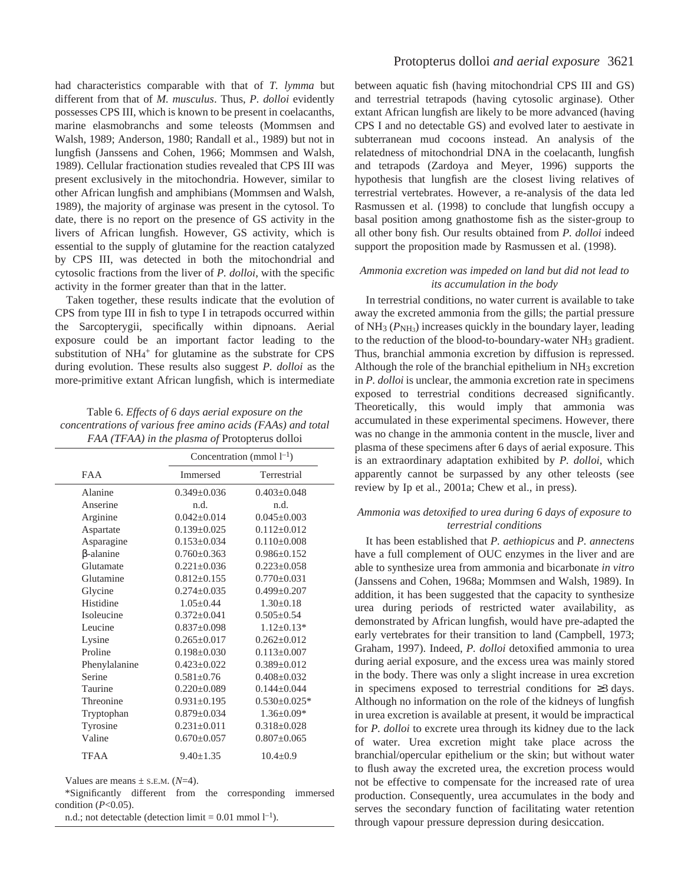had characteristics comparable with that of *T. lymma* but different from that of *M. musculus*. Thus, *P. dolloi* evidently possesses CPS III, which is known to be present in coelacanths, marine elasmobranchs and some teleosts (Mommsen and Walsh, 1989; Anderson, 1980; Randall et al., 1989) but not in lungfish (Janssens and Cohen, 1966; Mommsen and Walsh, 1989). Cellular fractionation studies revealed that CPS III was present exclusively in the mitochondria. However, similar to other African lungfish and amphibians (Mommsen and Walsh, 1989), the majority of arginase was present in the cytosol. To date, there is no report on the presence of GS activity in the livers of African lungfish. However, GS activity, which is essential to the supply of glutamine for the reaction catalyzed by CPS III, was detected in both the mitochondrial and cytosolic fractions from the liver of *P. dolloi*, with the specific activity in the former greater than that in the latter.

Taken together, these results indicate that the evolution of CPS from type III in fish to type I in tetrapods occurred within the Sarcopterygii, specifically within dipnoans. Aerial exposure could be an important factor leading to the substitution of  $NH_4$ <sup>+</sup> for glutamine as the substrate for CPS during evolution. These results also suggest *P. dolloi* as the more-primitive extant African lungfish, which is intermediate

| Table 6. Effects of 6 days aerial exposure on the           |
|-------------------------------------------------------------|
| concentrations of various free amino acids (FAAs) and total |
| FAA (TFAA) in the plasma of Protopterus dolloi              |

|               | Concentration (mmol $l^{-1}$ ) |                    |
|---------------|--------------------------------|--------------------|
| <b>FAA</b>    | Immersed                       | Terrestrial        |
| Alanine       | $0.349 \pm 0.036$              | $0.403 \pm 0.048$  |
| Anserine      | n.d.                           | n.d.               |
| Arginine      | $0.042 \pm 0.014$              | $0.045 \pm 0.003$  |
| Aspartate     | $0.139 \pm 0.025$              | $0.112 \pm 0.012$  |
| Asparagine    | $0.153 \pm 0.034$              | $0.110\pm0.008$    |
| β-alanine     | $0.760 \pm 0.363$              | $0.986 \pm 0.152$  |
| Glutamate     | $0.221 \pm 0.036$              | $0.223 \pm 0.058$  |
| Glutamine     | $0.812 \pm 0.155$              | $0.770 \pm 0.031$  |
| Glycine       | $0.274 \pm 0.035$              | $0.499 \pm 0.207$  |
| Histidine     | $1.05 \pm 0.44$                | $1.30 \pm 0.18$    |
| Isoleucine    | $0.372 \pm 0.041$              | $0.505 \pm 0.54$   |
| Leucine       | $0.837 \pm 0.098$              | $1.12 \pm 0.13*$   |
| Lysine        | $0.265 \pm 0.017$              | $0.262 \pm 0.012$  |
| Proline       | $0.198 \pm 0.030$              | $0.113 \pm 0.007$  |
| Phenylalanine | $0.423 \pm 0.022$              | $0.389 \pm 0.012$  |
| Serine        | $0.581 \pm 0.76$               | $0.408 \pm 0.032$  |
| Taurine       | $0.220 \pm 0.089$              | $0.144 \pm 0.044$  |
| Threonine     | $0.931 \pm 0.195$              | $0.530 \pm 0.025*$ |
| Tryptophan    | $0.879 \pm 0.034$              | $1.36 \pm 0.09*$   |
| Tyrosine      | $0.231 \pm 0.011$              | $0.318 \pm 0.028$  |
| Valine        | $0.670 \pm 0.057$              | $0.807 \pm 0.065$  |
| <b>TFAA</b>   | $9.40 \pm 1.35$                | $10.4 \pm 0.9$     |
|               |                                |                    |

Values are means  $\pm$  s.E.M. ( $N=4$ ).

\*Significantly different from the corresponding immersed condition (*P*<0.05).

n.d.; not detectable (detection limit =  $0.01$  mmol  $l^{-1}$ ).

## Protopterus dolloi *and aerial exposure* 3621

between aquatic fish (having mitochondrial CPS III and GS) and terrestrial tetrapods (having cytosolic arginase). Other extant African lungfish are likely to be more advanced (having CPS I and no detectable GS) and evolved later to aestivate in subterranean mud cocoons instead. An analysis of the relatedness of mitochondrial DNA in the coelacanth, lungfish and tetrapods (Zardoya and Meyer, 1996) supports the hypothesis that lungfish are the closest living relatives of terrestrial vertebrates. However, a re-analysis of the data led Rasmussen et al. (1998) to conclude that lungfish occupy a basal position among gnathostome fish as the sister-group to all other bony fish. Our results obtained from *P. dolloi* indeed support the proposition made by Rasmussen et al. (1998).

## *Ammonia excretion was impeded on land but did not lead to its accumulation in the body*

In terrestrial conditions, no water current is available to take away the excreted ammonia from the gills; the partial pressure of NH<sub>3</sub> ( $P_{\text{NH}_3}$ ) increases quickly in the boundary layer, leading to the reduction of the blood-to-boundary-water NH<sub>3</sub> gradient. Thus, branchial ammonia excretion by diffusion is repressed. Although the role of the branchial epithelium in  $NH<sub>3</sub>$  excretion in *P. dolloi* is unclear, the ammonia excretion rate in specimens exposed to terrestrial conditions decreased significantly. Theoretically, this would imply that ammonia was accumulated in these experimental specimens. However, there was no change in the ammonia content in the muscle, liver and plasma of these specimens after 6 days of aerial exposure. This is an extraordinary adaptation exhibited by *P. dolloi*, which apparently cannot be surpassed by any other teleosts (see review by Ip et al., 2001a; Chew et al., in press).

## *Ammonia was detoxified to urea during 6·days of exposure to terrestrial conditions*

It has been established that *P. aethiopicus* and *P. annectens* have a full complement of OUC enzymes in the liver and are able to synthesize urea from ammonia and bicarbonate *in vitro* (Janssens and Cohen, 1968a; Mommsen and Walsh, 1989). In addition, it has been suggested that the capacity to synthesize urea during periods of restricted water availability, as demonstrated by African lungfish, would have pre-adapted the early vertebrates for their transition to land (Campbell, 1973; Graham, 1997). Indeed, *P. dolloi* detoxified ammonia to urea during aerial exposure, and the excess urea was mainly stored in the body. There was only a slight increase in urea excretion in specimens exposed to terrestrial conditions for  $\geq$ 3 days. Although no information on the role of the kidneys of lungfish in urea excretion is available at present, it would be impractical for *P. dolloi* to excrete urea through its kidney due to the lack of water. Urea excretion might take place across the branchial/opercular epithelium or the skin; but without water to flush away the excreted urea, the excretion process would not be effective to compensate for the increased rate of urea production. Consequently, urea accumulates in the body and serves the secondary function of facilitating water retention through vapour pressure depression during desiccation.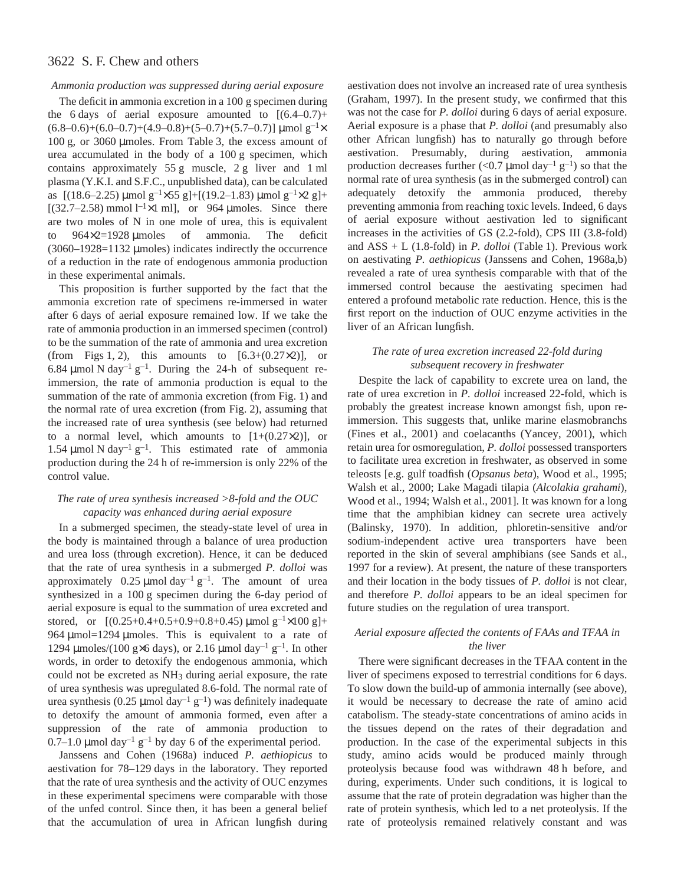#### *Ammonia production was suppressed during aerial exposure*

The deficit in ammonia excretion in a 100 g specimen during the 6 days of aerial exposure amounted to  $[(6.4-0.7) +$  $(6.8-0.6)+(6.0-0.7)+(4.9-0.8)+(5-0.7)+(5.7-0.7)] \mu$ mol g<sup>-1</sup>× 100 g, or 3060  $\mu$ moles. From Table 3, the excess amount of urea accumulated in the body of a  $100 g$  specimen, which contains approximately  $55 g$  muscle,  $2 g$  liver and 1 ml plasma (Y.K.I. and S.F.C., unpublished data), can be calculated as  $[(18.6-2.25)\,\text{\mu}$ molg<sup>-1</sup>×55 g]+ $[(19.2-1.83)\,\text{\mu}$ molg<sup>-1</sup>×2 g]+ [ $(32.7-2.58)$  mmol  $1^{-1} \times 1$  ml], or 964 µmoles. Since there are two moles of N in one mole of urea, this is equivalent to  $964 \times 2 = 1928$  umoles of ammonia. The deficit  $(3060-1928=1132 \mu)$  moles) indicates indirectly the occurrence of a reduction in the rate of endogenous ammonia production in these experimental animals.

This proposition is further supported by the fact that the ammonia excretion rate of specimens re-immersed in water after 6 days of aerial exposure remained low. If we take the rate of ammonia production in an immersed specimen (control) to be the summation of the rate of ammonia and urea excretion (from Figs 1, 2), this amounts to  $[6.3+(0.27\times2)]$ , or 6.84  $\mu$ mol N day<sup>-1</sup> g<sup>-1</sup>. During the 24-h of subsequent reimmersion, the rate of ammonia production is equal to the summation of the rate of ammonia excretion (from Fig. 1) and the normal rate of urea excretion (from Fig. 2), assuming that the increased rate of urea synthesis (see below) had returned to a normal level, which amounts to  $[1+(0.27\times2)]$ , or 1.54  $\mu$ mol N day<sup>-1</sup> g<sup>-1</sup>. This estimated rate of ammonia production during the 24 h of re-immersion is only 22% of the control value.

## *The rate of urea synthesis increased >8-fold and the OUC capacity was enhanced during aerial exposure*

In a submerged specimen, the steady-state level of urea in the body is maintained through a balance of urea production and urea loss (through excretion). Hence, it can be deduced that the rate of urea synthesis in a submerged *P. dolloi* was approximately 0.25  $\mu$ mol day<sup>-1</sup> g<sup>-1</sup>. The amount of urea synthesized in a 100 g specimen during the 6-day period of aerial exposure is equal to the summation of urea excreted and stored, or  $[(0.25+0.4+0.5+0.9+0.8+0.45) \,\text{\mu} \text{mol g}^{-1} \times 100 \text{ g}] +$ 964  $\mu$ mol=1294  $\mu$ moles. This is equivalent to a rate of 1294  $\mu$ moles/(100 g×6 days), or 2.16  $\mu$ mol day<sup>-1</sup> g<sup>-1</sup>. In other words, in order to detoxify the endogenous ammonia, which could not be excreted as NH3 during aerial exposure, the rate of urea synthesis was upregulated 8.6-fold. The normal rate of urea synthesis (0.25  $\mu$ mol day<sup>-1</sup> g<sup>-1</sup>) was definitely inadequate to detoxify the amount of ammonia formed, even after a suppression of the rate of ammonia production to 0.7–1.0  $\mu$ mol day<sup>-1</sup> g<sup>-1</sup> by day 6 of the experimental period.

Janssens and Cohen (1968a) induced *P. aethiopicus* to aestivation for 78–129 days in the laboratory. They reported that the rate of urea synthesis and the activity of OUC enzymes in these experimental specimens were comparable with those of the unfed control. Since then, it has been a general belief that the accumulation of urea in African lungfish during

aestivation does not involve an increased rate of urea synthesis (Graham, 1997). In the present study, we confirmed that this was not the case for *P. dolloi* during 6 days of aerial exposure. Aerial exposure is a phase that *P. dolloi* (and presumably also other African lungfish) has to naturally go through before aestivation. Presumably, during aestivation, ammonia production decreases further  $(<0.7 \text{ }\mu\text{mol}\text{ day}^{-1}\text{ g}^{-1})$  so that the normal rate of urea synthesis (as in the submerged control) can adequately detoxify the ammonia produced, thereby preventing ammonia from reaching toxic levels. Indeed, 6 days of aerial exposure without aestivation led to significant increases in the activities of GS (2.2-fold), CPS III (3.8-fold) and  $ASS + L$  (1.8-fold) in *P. dolloi* (Table 1). Previous work on aestivating *P. aethiopicus* (Janssens and Cohen, 1968a,b) revealed a rate of urea synthesis comparable with that of the immersed control because the aestivating specimen had entered a profound metabolic rate reduction. Hence, this is the first report on the induction of OUC enzyme activities in the liver of an African lungfish.

## *The rate of urea excretion increased 22-fold during subsequent recovery in freshwater*

Despite the lack of capability to excrete urea on land, the rate of urea excretion in *P. dolloi* increased 22-fold, which is probably the greatest increase known amongst fish, upon reimmersion. This suggests that, unlike marine elasmobranchs (Fines et al., 2001) and coelacanths (Yancey, 2001), which retain urea for osmoregulation, *P. dolloi* possessed transporters to facilitate urea excretion in freshwater, as observed in some teleosts [e.g. gulf toadfish (*Opsanus beta*), Wood et al., 1995; Walsh et al., 2000; Lake Magadi tilapia (*Alcolakia grahami*), Wood et al., 1994; Walsh et al., 2001]. It was known for a long time that the amphibian kidney can secrete urea actively (Balinsky, 1970). In addition, phloretin-sensitive and/or sodium-independent active urea transporters have been reported in the skin of several amphibians (see Sands et al., 1997 for a review). At present, the nature of these transporters and their location in the body tissues of *P. dolloi* is not clear, and therefore *P. dolloi* appears to be an ideal specimen for future studies on the regulation of urea transport.

## *Aerial exposure affected the contents of FAAs and TFAA in the liver*

There were significant decreases in the TFAA content in the liver of specimens exposed to terrestrial conditions for 6 days. To slow down the build-up of ammonia internally (see above), it would be necessary to decrease the rate of amino acid catabolism. The steady-state concentrations of amino acids in the tissues depend on the rates of their degradation and production. In the case of the experimental subjects in this study, amino acids would be produced mainly through proteolysis because food was withdrawn 48<sup>h</sup> before, and during, experiments. Under such conditions, it is logical to assume that the rate of protein degradation was higher than the rate of protein synthesis, which led to a net proteolysis. If the rate of proteolysis remained relatively constant and was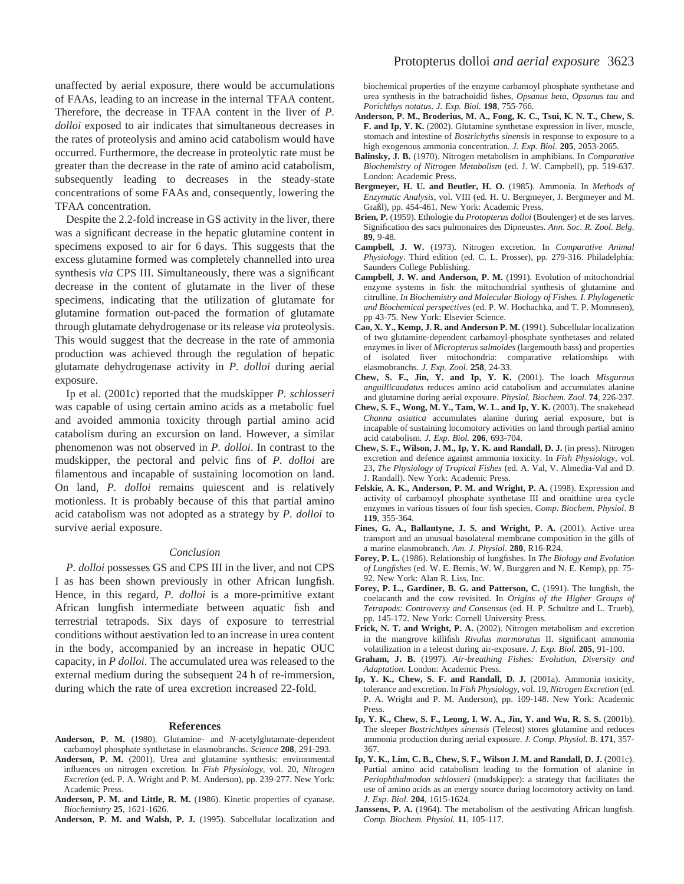unaffected by aerial exposure, there would be accumulations of FAAs, leading to an increase in the internal TFAA content. Therefore, the decrease in TFAA content in the liver of *P. dolloi* exposed to air indicates that simultaneous decreases in the rates of proteolysis and amino acid catabolism would have occurred. Furthermore, the decrease in proteolytic rate must be greater than the decrease in the rate of amino acid catabolism, subsequently leading to decreases in the steady-state concentrations of some FAAs and, consequently, lowering the TFAA concentration.

Despite the 2.2-fold increase in GS activity in the liver, there was a significant decrease in the hepatic glutamine content in specimens exposed to air for 6 days. This suggests that the excess glutamine formed was completely channelled into urea synthesis *via* CPS III. Simultaneously, there was a significant decrease in the content of glutamate in the liver of these specimens, indicating that the utilization of glutamate for glutamine formation out-paced the formation of glutamate through glutamate dehydrogenase or its release *via* proteolysis. This would suggest that the decrease in the rate of ammonia production was achieved through the regulation of hepatic glutamate dehydrogenase activity in *P. dolloi* during aerial exposure.

Ip et al. (2001c) reported that the mudskipper *P. schlosseri* was capable of using certain amino acids as a metabolic fuel and avoided ammonia toxicity through partial amino acid catabolism during an excursion on land. However, a similar phenomenon was not observed in *P. dolloi*. In contrast to the mudskipper, the pectoral and pelvic fins of *P. dolloi* are filamentous and incapable of sustaining locomotion on land. On land, *P. dolloi* remains quiescent and is relatively motionless. It is probably because of this that partial amino acid catabolism was not adopted as a strategy by *P. dolloi* to survive aerial exposure.

#### *Conclusion*

*P. dolloi* possesses GS and CPS III in the liver, and not CPS I as has been shown previously in other African lungfish. Hence, in this regard, *P. dolloi* is a more-primitive extant African lungfish intermediate between aquatic fish and terrestrial tetrapods. Six days of exposure to terrestrial conditions without aestivation led to an increase in urea content in the body, accompanied by an increase in hepatic OUC capacity, in *P dolloi*. The accumulated urea was released to the external medium during the subsequent 24 h of re-immersion, during which the rate of urea excretion increased 22-fold.

#### **References**

- **Anderson, P. M.** (1980). Glutamine- and *N*-acetylglutamate-dependent carbamoyl phosphate synthetase in elasmobranchs. *Science* **208**, 291-293.
- **Anderson, P. M.** (2001). Urea and glutamine synthesis: environmental influences on nitrogen excretion. In *Fish Physiology*, vol. 20, *Nitrogen Excretion* (ed. P. A. Wright and P. M. Anderson), pp. 239-277. New York: Academic Press.
- **Anderson, P. M. and Little, R. M.** (1986). Kinetic properties of cyanase. *Biochemistry* **25**, 1621-1626.
- **Anderson, P. M. and Walsh, P. J.** (1995). Subcellular localization and

biochemical properties of the enzyme carbamoyl phosphate synthetase and urea synthesis in the batrachoidid fishes, *Opsanus beta, Opsanus tau* and *Porichthys notatus*. *J. Exp. Biol.* **198**, 755-766.

- **Anderson, P. M., Broderius, M. A., Fong, K. C., Tsui, K. N. T., Chew, S. F. and Ip, Y. K.** (2002). Glutamine synthetase expression in liver, muscle, stomach and intestine of *Bostrichyths sinensis* in response to exposure to a high exogenous ammonia concentration*. J. Exp. Biol.* **205**, 2053-2065.
- **Balinsky, J. B.** (1970). Nitrogen metabolism in amphibians. In *Comparative Biochemistry of Nitrogen Metabolism* (ed. J. W. Campbell), pp. 519-637. London: Academic Press.
- **Bergmeyer, H. U. and Beutler, H. O.** (1985). Ammonia. In *Methods of Enzymatic Analysis*, vol. VIII (ed. H. U. Bergmeyer, J. Bergmeyer and M. Graßl), pp. 454-461. New York: Academic Press.
- **Brien, P.** (1959). Ethologie du *Protopterus dolloi* (Boulenger) et de ses larves. Signification des sacs pulmonaires des Dipneustes. *Ann. Soc. R. Zool. Belg*. **89**, 9-48.
- **Campbell, J. W.** (1973). Nitrogen excretion. In *Comparative Animal Physiology*. Third edition (ed. C. L. Prosser), pp. 279-316. Philadelphia: Saunders College Publishing.
- **Campbell, J. W. and Anderson, P. M.** (1991). Evolution of mitochondrial enzyme systems in fish: the mitochondrial synthesis of glutamine and citrulline. *In Biochemistry and Molecular Biology of Fishes. I. Phylogenetic and Biochemical perspectives* (ed. P. W. Hochachka, and T. P. Mommsen), pp 43-75. New York: Elsevier Science.
- **Cao, X. Y., Kemp, J. R. and Anderson P. M.** (1991). Subcellular localization of two glutamine-dependent carbamoyl-phosphate synthetases and related enzymes in liver of *Micropterus salmoides* (largemouth bass) and properties of isolated liver mitochondria: comparative relationships with elasmobranchs. *J. Exp. Zool*. **258**, 24-33.
- **Chew, S. F., Jin, Y. and Ip, Y. K.** (2001). The loach *Misgurnus anguillicaudatus* reduces amino acid catabolism and accumulates alanine and glutamine during aerial exposure. *Physiol. Biochem. Zool.* **74**, 226-237.
- **Chew, S. F., Wong, M. Y., Tam, W. L. and Ip, Y. K.** (2003). The snakehead *Channa asiatica* accumulates alanine during aerial exposure, but is incapable of sustaining locomotory activities on land through partial amino acid catabolism*. J. Exp. Biol.* **206**, 693-704.
- **Chew, S. F., Wilson, J. M., Ip, Y. K. and Randall, D. J.** (in press). Nitrogen excretion and defence against ammonia toxicity. In *Fish Physiology*, vol. 23, *The Physiology of Tropical Fishes* (ed. A. Val, V. Almedia-Val and D. J. Randall). New York: Academic Press.
- **Felskie, A. K., Anderson, P. M. and Wright, P. A.** (1998). Expression and activity of carbamoyl phosphate synthetase III and ornithine urea cycle enzymes in various tissues of four fish species. *Comp. Biochem. Physiol*. *B* **119**, 355-364.
- Fines, G. A., Ballantyne, J. S. and Wright, P. A. (2001). Active urea transport and an unusual basolateral membrane composition in the gills of a marine elasmobranch. *Am. J. Physiol*. **280**, R16-R24.
- **Forey, P. L.** (1986). Relationship of lungfishes. In *The Biology and Evolution of Lungfishes* (ed. W. E. Bemis, W. W. Burggren and N. E. Kemp), pp. 75- 92. New York: Alan R. Liss, Inc.
- **Forey, P. L., Gardiner, B. G. and Patterson, C.** (1991). The lungfish, the coelacanth and the cow revisited. In *Origins of the Higher Groups of Tetrapods: Controversy and Consensus* (ed. H. P. Schultze and L. Trueb), pp. 145-172. New York: Cornell University Press.
- **Frick, N. T. and Wright, P. A.** (2002). Nitrogen metabolism and excretion in the mangrove killifish *Rivulus marmoratus* II. significant ammonia volatilization in a teleost during air-exposure. *J. Exp. Biol.* **205**, 91-100.
- **Graham, J. B.** (1997). *Air-breathing Fishes: Evolution, Diversity and Adaptation.* London: Academic Press.
- **Ip, Y. K., Chew, S. F. and Randall, D. J.** (2001a). Ammonia toxicity, tolerance and excretion. In *Fish Physiology*, vol. 19, *Nitrogen Excretion* (ed. P. A. Wright and P. M. Anderson), pp. 109-148. New York: Academic Press.
- **Ip, Y. K., Chew, S. F., Leong, I. W. A., Jin, Y. and Wu, R. S. S.** (2001b). The sleeper *Bostrichthyes sinensis* (Teleost) stores glutamine and reduces ammonia production during aerial exposure. *J. Comp. Physiol. B*. **171**, 357- 367.
- **Ip, Y. K., Lim, C. B., Chew, S. F., Wilson J. M. and Randall, D. J.** (2001c). Partial amino acid catabolism leading to the formation of alanine in *Periophthalmodon schlosseri* (mudskipper): a strategy that facilitates the use of amino acids as an energy source during locomotory activity on land. *J. Exp. Biol.* **204**, 1615-1624.
- Janssens, P. A. (1964). The metabolism of the aestivating African lungfish. *Comp. Biochem. Physiol.* **11**, 105-117.